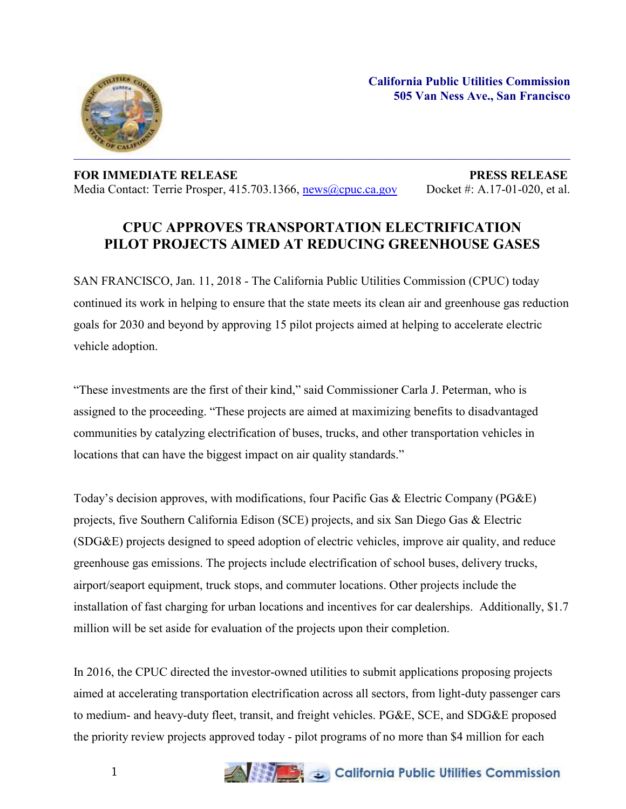

## **FOR IMMEDIATE RELEASE PRESS RELEASE** Media Contact: Terrie Prosper, 415.703.1366, [news@cpuc.ca.gov](mailto:news@cpuc.ca.gov) Docket #: A.17-01-020, et al.

## **CPUC APPROVES TRANSPORTATION ELECTRIFICATION PILOT PROJECTS AIMED AT REDUCING GREENHOUSE GASES**

SAN FRANCISCO, Jan. 11, 2018 - The California Public Utilities Commission (CPUC) today continued its work in helping to ensure that the state meets its clean air and greenhouse gas reduction goals for 2030 and beyond by approving 15 pilot projects aimed at helping to accelerate electric vehicle adoption.

"These investments are the first of their kind," said Commissioner Carla J. Peterman, who is assigned to the proceeding. "These projects are aimed at maximizing benefits to disadvantaged communities by catalyzing electrification of buses, trucks, and other transportation vehicles in locations that can have the biggest impact on air quality standards."

Today's decision approves, with modifications, four Pacific Gas & Electric Company (PG&E) projects, five Southern California Edison (SCE) projects, and six San Diego Gas & Electric (SDG&E) projects designed to speed adoption of electric vehicles, improve air quality, and reduce greenhouse gas emissions. The projects include electrification of school buses, delivery trucks, airport/seaport equipment, truck stops, and commuter locations. Other projects include the installation of fast charging for urban locations and incentives for car dealerships. Additionally, \$1.7 million will be set aside for evaluation of the projects upon their completion.

In 2016, the CPUC directed the investor-owned utilities to submit applications proposing projects aimed at accelerating transportation electrification across all sectors, from light-duty passenger cars to medium- and heavy-duty fleet, transit, and freight vehicles. PG&E, SCE, and SDG&E proposed the priority review projects approved today - pilot programs of no more than \$4 million for each